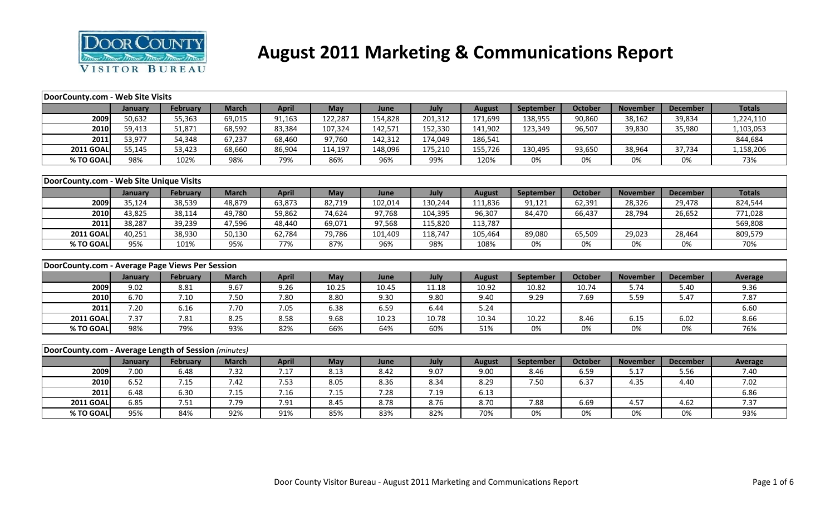

## **August 2011 Marketing & Communications Report**

| DoorCounty.com - Web Site Visits                     |         |                 |              |              |            |         |         |               |           |                |                 |                 |                |
|------------------------------------------------------|---------|-----------------|--------------|--------------|------------|---------|---------|---------------|-----------|----------------|-----------------|-----------------|----------------|
|                                                      | January | February        | <b>March</b> | <b>April</b> | <b>May</b> | June    | July    | <b>August</b> | September | <b>October</b> | <b>November</b> | <b>December</b> | <b>Totals</b>  |
| 2009                                                 | 50,632  | 55,363          | 69,015       | 91,163       | 122,287    | 154,828 | 201,312 | 171,699       | 138,955   | 90,860         | 38,162          | 39,834          | 1,224,110      |
| 2010                                                 | 59,413  | 51,871          | 68,592       | 83,384       | 107,324    | 142,571 | 152,330 | 141,902       | 123,349   | 96,507         | 39,830          | 35,980          | 1,103,053      |
| 2011                                                 | 53,977  | 54,348          | 67,237       | 68,460       | 97,760     | 142,312 | 174,049 | 186,541       |           |                |                 |                 | 844,684        |
| <b>2011 GOAL</b>                                     | 55,145  | 53,423          | 68,660       | 86,904       | 114,197    | 148,096 | 175,210 | 155,726       | 130,495   | 93,650         | 38,964          | 37,734          | 1,158,206      |
| % TO GOAL                                            | 98%     | 102%            | 98%          | 79%          | 86%        | 96%     | 99%     | 120%          | 0%        | 0%             | 0%              | 0%              | 73%            |
|                                                      |         |                 |              |              |            |         |         |               |           |                |                 |                 |                |
| DoorCounty.com - Web Site Unique Visits              |         |                 |              |              |            |         |         |               |           |                |                 |                 |                |
|                                                      | January | <b>February</b> | <b>March</b> | <b>April</b> | May        | June    | July    | <b>August</b> | September | <b>October</b> | <b>November</b> | <b>December</b> | <b>Totals</b>  |
| 2009                                                 | 35,124  | 38,539          | 48,879       | 63,873       | 82,719     | 102,014 | 130,244 | 111,836       | 91,121    | 62,391         | 28,326          | 29,478          | 824,544        |
| 2010                                                 | 43,825  | 38,114          | 49,780       | 59,862       | 74,624     | 97,768  | 104,395 | 96,307        | 84,470    | 66,437         | 28,794          | 26,652          | 771,028        |
| 2011                                                 | 38,287  | 39,239          | 47,596       | 48,440       | 69,071     | 97,568  | 115,820 | 113,787       |           |                |                 |                 | 569,808        |
| <b>2011 GOAL</b>                                     | 40,251  | 38,930          | 50,130       | 62,784       | 79,786     | 101,409 | 118,747 | 105,464       | 89,080    | 65,509         | 29,023          | 28,464          | 809,579        |
| % TO GOAL                                            | 95%     | 101%            | 95%          | 77%          | 87%        | 96%     | 98%     | 108%          | 0%        | 0%             | 0%              | 0%              | 70%            |
|                                                      |         |                 |              |              |            |         |         |               |           |                |                 |                 |                |
| DoorCounty.com - Average Page Views Per Session      |         |                 |              |              |            |         |         |               |           |                |                 |                 |                |
|                                                      | January | <b>February</b> | <b>March</b> | <b>April</b> | May        | June    | July    | <b>August</b> | September | <b>October</b> | <b>November</b> | <b>December</b> | <b>Average</b> |
| 2009                                                 | 9.02    | 8.81            | 9.67         | 9.26         | 10.25      | 10.45   | 11.18   | 10.92         | 10.82     | 10.74          | 5.74            | 5.40            | 9.36           |
| 2010                                                 | 6.70    | 7.10            | 7.50         | 7.80         | 8.80       | 9.30    | 9.80    | 9.40          | 9.29      | 7.69           | 5.59            | 5.47            | 7.87           |
| 2011                                                 | 7.20    | 6.16            | 7.70         | 7.05         | 6.38       | 6.59    | 6.44    | 5.24          |           |                |                 |                 | 6.60           |
| <b>2011 GOAL</b>                                     | 7.37    | 7.81            | 8.25         | 8.58         | 9.68       | 10.23   | 10.78   | 10.34         | 10.22     | 8.46           | 6.15            | 6.02            | 8.66           |
| % TO GOAL                                            | 98%     | 79%             | 93%          | 82%          | 66%        | 64%     | 60%     | 51%           | 0%        | 0%             | 0%              | 0%              | 76%            |
|                                                      |         |                 |              |              |            |         |         |               |           |                |                 |                 |                |
| DoorCounty.com - Average Length of Session (minutes) |         |                 |              |              |            |         |         |               |           |                |                 |                 |                |
|                                                      |         |                 |              |              |            |         |         |               |           |                |                 |                 |                |
|                                                      | January | <b>February</b> | <b>March</b> | <b>April</b> | May        | June    | July    | <b>August</b> | September | October        | <b>November</b> | <b>December</b> | Average        |
| 2009                                                 | 7.00    | 6.48            | 7.32         | 7.17         | 8.13       | 8.42    | 9.07    | 9.00          | 8.46      | 6.59           | 5.17            | 5.56            | 7.40           |
| 2010                                                 | 6.52    | 7.15            | 7.42         | 7.53         | 8.05       | 8.36    | 8.34    | 8.29          | 7.50      | 6.37           | 4.35            | 4.40            | 7.02           |
| 2011                                                 | 6.48    | 6.30            | 7.15         | 7.16         | 7.15       | 7.28    | 7.19    | 6.13          |           |                |                 |                 | 6.86           |
| <b>2011 GOAL</b>                                     | 6.85    | 7.51            | 7.79         | 7.91         | 8.45       | 8.78    | 8.76    | 8.70          | 7.88      | 6.69           | 4.57            | 4.62            | 7.37           |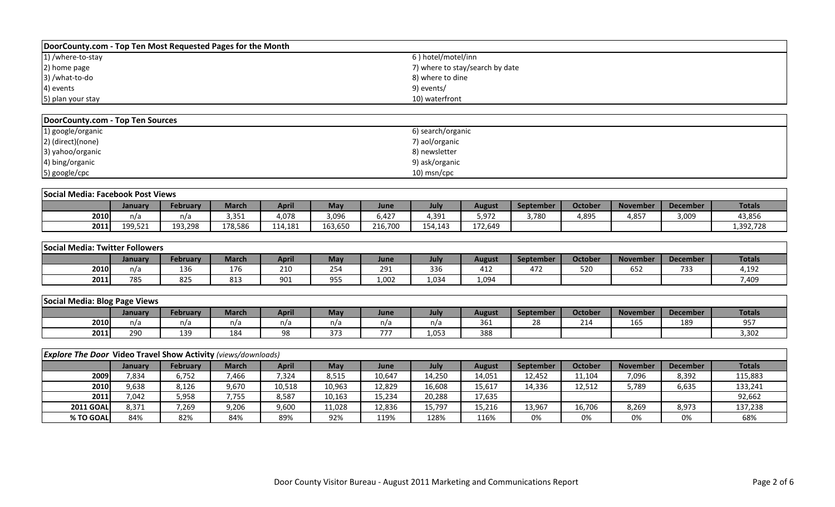| DoorCounty.com - Top Ten Most Requested Pages for the Month |                                 |
|-------------------------------------------------------------|---------------------------------|
| 1) /where-to-stay                                           | 6) hotel/motel/inn              |
| 2) home page                                                | 7) where to stay/search by date |
| 3) /what-to-do                                              | 8) where to dine                |
| 4) events                                                   | 9) events/                      |
| 5) plan your stay                                           | 10) waterfront                  |

| DoorCounty.com - Top Ten Sources |                   |
|----------------------------------|-------------------|
| 1) google/organic                | 6) search/organic |
| 2) (direct)(none)                | 7) aol/organic    |
| 3) yahoo/organic                 | 8) newsletter     |
| 4) bing/organic                  | 9) ask/organic    |
| 5) google/cpc                    | $10)$ msn/cpc     |

|      | Social Media: Facebook Post Views |          |         |              |         |             |         |         |           |                |                 |                 |               |
|------|-----------------------------------|----------|---------|--------------|---------|-------------|---------|---------|-----------|----------------|-----------------|-----------------|---------------|
|      | <b>January</b>                    | Februarv | March   | <b>April</b> | May     | <b>June</b> | July    | August  | September | <b>October</b> | <b>November</b> | <b>December</b> | <b>Totals</b> |
| 2010 | n/a                               | n/a      | 3,351   | 4,078        | 3,096   | 6.427       | 4,391   | 5,972   | 3,780     | 4,895          | 4,857           | 3,009           | 43,856        |
| 2011 | 199.521                           | 193,298  | 178.586 | 114.181      | 163,650 | 216,700     | 154.143 | 172,649 |           |                |                 |                 | 1,392,728     |

| Social Media: Twitter Followers |         |          |       |              |                      |       |       |               |           |                |                 |                 |               |
|---------------------------------|---------|----------|-------|--------------|----------------------|-------|-------|---------------|-----------|----------------|-----------------|-----------------|---------------|
|                                 | January | Februarv | March | <b>April</b> | <b>May</b>           | June  | July  | <b>August</b> | September | <b>October</b> | <b>November</b> | <b>December</b> | <b>Totals</b> |
| 2010                            | n/a     | 136      | 176   | 210          | $\sim$ $\sim$<br>254 | 291   | 336   | 412           | 472       | 52C            | 652             | 733             | 4,192         |
| 2011                            | 785     | 825      | 813   | 901          | 955                  | 1.002 | 1,034 | 1,094         |           |                |                 |                 | 7,409         |

| Social Media: Blog Page Views |         |          |              |              |                   |               |       |                |                  |                |                 |                 |               |
|-------------------------------|---------|----------|--------------|--------------|-------------------|---------------|-------|----------------|------------------|----------------|-----------------|-----------------|---------------|
|                               | January | February | <b>March</b> | <b>April</b> | May               | June          | July  | <b>August</b>  | <b>September</b> | <b>October</b> | <b>November</b> | <b>December</b> | <b>Totals</b> |
| 2010                          | n/a     | n/a      | n/a          | n/a          | n/a               | n/a           | n/a   | $\sim$<br>-361 | $\sim$<br>⁄^     | 214            | 165             | 189             | 057<br>JJ 1   |
| 2011                          | 290     | 139      | 184          | 98           | $\sim$ $-$<br>ر ر | $- - -$<br>,, | 1,053 | 388            |                  |                |                 |                 | 3,302         |

|                  | <b>Explore The Door Video Travel Show Activity</b> (views/downloads) |                 |       |        |        |        |        |               |                  |                |                 |                 |               |  |
|------------------|----------------------------------------------------------------------|-----------------|-------|--------|--------|--------|--------|---------------|------------------|----------------|-----------------|-----------------|---------------|--|
|                  | January                                                              | <b>February</b> | March | April  | May    | June   | July   | <b>August</b> | <b>September</b> | <b>Octobel</b> | <b>November</b> | <b>December</b> | <b>Totals</b> |  |
| 2009             | 7,834                                                                | 6,752           | 7,466 | 7,324  | 8,515  | 10,647 | 14,250 | 14,051        | 12.452           | 11,104         | 7,096           | 8,392           | 115,883       |  |
| 2010             | 9,638                                                                | 8,126           | 9,670 | 10,518 | 10,963 | 12,829 | 16,608 | 15,617        | 14,336           | 12,512         | 5,789           | 6,635           | 133,241       |  |
| 2011             | 7,042                                                                | 5,958           | 7,755 | 8,587  | 10,163 | 15,234 | 20,288 | 17,635        |                  |                |                 |                 | 92,662        |  |
| <b>2011 GOAL</b> | 8,371                                                                | 7,269           | 9,206 | 9,600  | 11,028 | 12,836 | 15,797 | 15,216        | 13,967           | 16,706         | 8,269           | 8,973           | 137,238       |  |
| % TO GOAL        | 84%                                                                  | 82%             | 84%   | 89%    | 92%    | 119%   | 128%   | 116%          | 0%               | 0%             | 0%              | 0%              | 68%           |  |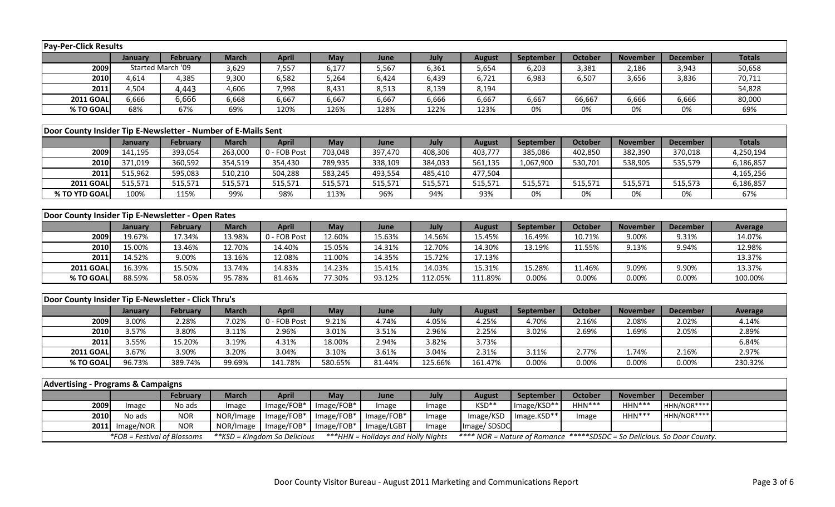| <b>Pay-Per-Click Results</b>                                  |                |                             |                               |                |                 |                                           |                |                |             |                |                                                                         |                 |                |
|---------------------------------------------------------------|----------------|-----------------------------|-------------------------------|----------------|-----------------|-------------------------------------------|----------------|----------------|-------------|----------------|-------------------------------------------------------------------------|-----------------|----------------|
|                                                               | January        | <b>February</b>             | <b>March</b>                  | <b>April</b>   | <b>May</b>      | June                                      | July           | <b>August</b>  | September   | <b>October</b> | <b>November</b>                                                         | <b>December</b> | <b>Totals</b>  |
| 2009                                                          |                | Started March '09           | 3,629                         | 7,557          | 6,177           | 5,567                                     | 6,361          | 5,654          | 6,203       | 3,381          | 2,186                                                                   | 3,943           | 50,658         |
| 2010                                                          | 4,614          | 4,385                       | 9,300                         | 6,582          | 5,264           | 6,424                                     | 6,439          | 6,721          | 6,983       | 6,507          | 3,656                                                                   | 3,836           | 70,711         |
| 2011                                                          | 4,504          | 4,443                       | 4,606                         | 7,998          | 8,431           | 8,513                                     | 8,139          | 8,194          |             |                |                                                                         |                 | 54,828         |
| <b>2011 GOAL</b>                                              | 6,666          | 6,666                       | 6,668                         | 6,667          | 6,667           | 6,667                                     | 6,666          | 6,667          | 6,667       | 66,667         | 6,666                                                                   | 6,666           | 80,000         |
| % TO GOAL                                                     | 68%            | 67%                         | 69%                           | 120%           | 126%            | 128%                                      | 122%           | 123%           | 0%          | 0%             | 0%                                                                      | 0%              | 69%            |
|                                                               |                |                             |                               |                |                 |                                           |                |                |             |                |                                                                         |                 |                |
| Door County Insider Tip E-Newsletter - Number of E-Mails Sent |                |                             |                               |                |                 |                                           |                |                |             |                |                                                                         |                 |                |
|                                                               | January        | <b>February</b>             | <b>March</b>                  | <b>April</b>   | May             | June                                      | July           | <b>August</b>  | September   | <b>October</b> | <b>November</b>                                                         | <b>December</b> | <b>Totals</b>  |
| 2009                                                          | 141,195        | 393,054                     | 263,000                       | 0 - FOB Post   | 703,048         | 397,470                                   | 408,306        | 403,777        | 385,086     | 402,850        | 382,390                                                                 | 370,018         | 4,250,194      |
| 2010                                                          | 371,019        | 360,592                     | 354,519                       | 354,430        | 789,935         | 338,109                                   | 384,033        | 561,135        | 1,067,900   | 530,701        | 538,905                                                                 | 535,579         | 6,186,857      |
| 2011                                                          | 515,962        | 595,083                     | 510,210                       | 504,288        | 583,245         | 493,554                                   | 485,410        | 477,504        |             |                |                                                                         |                 | 4,165,256      |
| <b>2011 GOAL</b>                                              | 515,571        | 515,571                     | 515,571                       | 515,571        | 515,571         | 515,571                                   | 515,571        | 515,571        | 515,571     | 515,571        | 515,571                                                                 | 515,573         | 6,186,857      |
| % TO YTD GOAL                                                 | 100%           | 115%                        | 99%                           | 98%            | 113%            | 96%                                       | 94%            | 93%            | 0%          | 0%             | 0%                                                                      | 0%              | 67%            |
|                                                               |                |                             |                               |                |                 |                                           |                |                |             |                |                                                                         |                 |                |
| Door County Insider Tip E-Newsletter - Open Rates             |                |                             |                               |                |                 |                                           |                |                |             |                |                                                                         |                 |                |
|                                                               | <b>January</b> | February                    | <b>March</b>                  | <b>April</b>   | May             | June                                      | July           | <b>August</b>  | September   | <b>October</b> | <b>November</b>                                                         | <b>December</b> | <b>Average</b> |
| 2009                                                          | 19.67%         | 17.34%                      | 13.98%                        | 0 - FOB Post   | 12.60%          | 15.63%                                    | 14.56%         | 15.45%         | 16.49%      | 10.71%         | 9.00%                                                                   | 9.31%           | 14.07%         |
| 2010                                                          | 15.00%         | 13.46%                      | 12.70%                        | 14.40%         | 15.05%          | 14.31%                                    | 12.70%         | 14.30%         | 13.19%      | 11.55%         | 9.13%                                                                   | 9.94%           | 12.98%         |
| 2011                                                          | 14.52%         | 9.00%                       | 13.16%                        | 12.08%         | 11.00%          | 14.35%                                    | 15.72%         | 17.13%         |             |                |                                                                         |                 | 13.37%         |
| <b>2011 GOAL</b>                                              | 16.39%         | 15.50%                      | 13.74%                        | 14.83%         | 14.23%          | 15.41%                                    | 14.03%         | 15.31%         | 15.28%      | 11.46%         | 9.09%                                                                   | 9.90%           | 13.37%         |
| % TO GOAL                                                     | 88.59%         | 58.05%                      | 95.78%                        | 81.46%         | 77.30%          | 93.12%                                    | 112.05%        | 111.89%        | 0.00%       | 0.00%          | 0.00%                                                                   | 0.00%           | 100.00%        |
|                                                               |                |                             |                               |                |                 |                                           |                |                |             |                |                                                                         |                 |                |
| Door County Insider Tip E-Newsletter - Click Thru's           |                |                             |                               |                |                 |                                           |                |                |             |                |                                                                         |                 |                |
|                                                               | <b>January</b> | <b>February</b>             | <b>March</b>                  | <b>April</b>   | May             | June                                      | July           | <b>August</b>  | September   | <b>October</b> | <b>November</b>                                                         | <b>December</b> | Average        |
| 2009                                                          | 3.00%          | 2.28%                       | 7.02%                         | 0 - FOB Post   | 9.21%           | 4.74%                                     | 4.05%          | 4.25%          | 4.70%       | 2.16%          | 2.08%                                                                   | 2.02%           | 4.14%          |
| 2010<br>2011                                                  | 3.57%          | 3.80%                       | 3.11%                         | 2.96%          | 3.01%           | 3.51%                                     | 2.96%<br>3.82% | 2.25%          | 3.02%       | 2.69%          | 1.69%                                                                   | 2.05%           | 2.89%          |
| <b>2011 GOAL</b>                                              | 3.55%<br>3.67% | 15.20%<br>3.90%             | 3.19%<br>3.20%                | 4.31%<br>3.04% | 18.00%<br>3.10% | 2.94%<br>3.61%                            | 3.04%          | 3.73%<br>2.31% | 3.11%       | 2.77%          | 1.74%                                                                   | 2.16%           | 6.84%<br>2.97% |
| % TO GOAL                                                     | 96.73%         | 389.74%                     | 99.69%                        | 141.78%        | 580.65%         | 81.44%                                    | 125.66%        | 161.47%        | 0.00%       | 0.00%          | 0.00%                                                                   | 0.00%           | 230.32%        |
|                                                               |                |                             |                               |                |                 |                                           |                |                |             |                |                                                                         |                 |                |
| <b>Advertising - Programs &amp; Campaigns</b>                 |                |                             |                               |                |                 |                                           |                |                |             |                |                                                                         |                 |                |
|                                                               |                | <b>February</b>             | <b>March</b>                  | <b>April</b>   | May             | June                                      | July           | <b>August</b>  | September   | <b>October</b> | <b>November</b>                                                         | <b>December</b> |                |
| 2009                                                          | Image          | No ads                      | Image                         | Image/FOB*     | Image/FOB*      | Image                                     | Image          | KSD**          | Image/KSD** | HHN***         | HHN***                                                                  | HHN/NOR****     |                |
| 2010                                                          | No ads         | <b>NOR</b>                  | NOR/Image                     | Image/FOB*     | Image/FOB*      | Image/FOB*                                | Image          | Image/KSD      | Image.KSD** | Image          | $HHN***$                                                                | HHN/NOR****     |                |
| 2011                                                          | Image/NOR      | <b>NOR</b>                  | NOR/Image                     | Image/FOB*     | Image/FOB*      | Image/LGBT                                | Image          | Image/SDSDC    |             |                |                                                                         |                 |                |
|                                                               |                | *FOB = Festival of Blossoms | ** KSD = Kingdom So Delicious |                |                 | <b>***HHN</b> = Holidays and Holly Nights |                |                |             |                | **** NOR = Nature of Romance *****SDSDC = So Delicious. So Door County. |                 |                |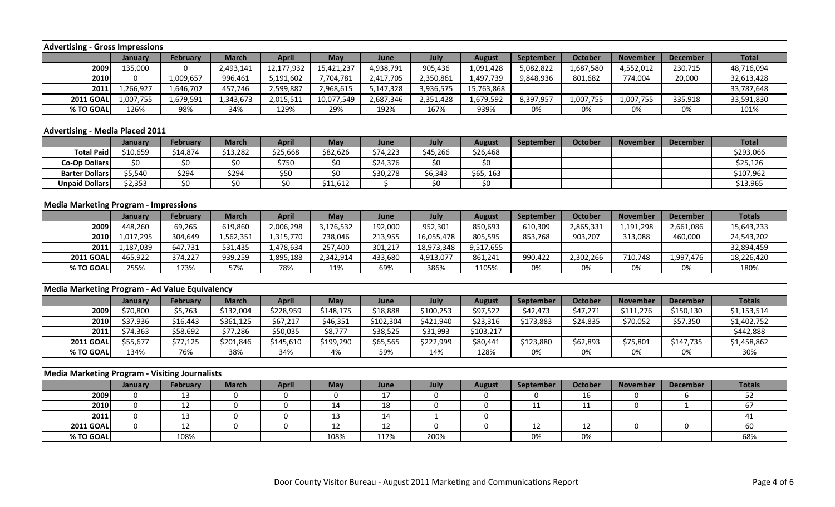| <b>Advertising - Gross Impressions</b>                |              |                 |              |                 |                    |           |              |                 |             |                |                 |                 |               |
|-------------------------------------------------------|--------------|-----------------|--------------|-----------------|--------------------|-----------|--------------|-----------------|-------------|----------------|-----------------|-----------------|---------------|
|                                                       | January      | <b>February</b> | <b>March</b> | <b>April</b>    | May                | June      | July         | <b>August</b>   | September   | <b>October</b> | <b>November</b> | <b>December</b> | <b>Total</b>  |
| 2009                                                  | 135,000      | $\Omega$        | 2,493,141    | 12,177,932      | 15,421,237         | 4,938,791 | 905,436      | 1,091,428       | 5,082,822   | 1,687,580      | 4,552,012       | 230,715         | 48,716,094    |
| 2010                                                  | $\mathbf 0$  | 1,009,657       | 996,461      | 5,191,602       | 7,704,781          | 2,417,705 | 2,350,861    | 1,497,739       | 9,848,936   | 801,682        | 774,004         | 20,000          | 32,613,428    |
| 2011                                                  | 1,266,927    | 1,646,702       | 457,746      | 2,599,887       | 2,968,615          | 5,147,328 | 3,936,575    | 15,763,868      |             |                |                 |                 | 33,787,648    |
| <b>2011 GOAL</b>                                      | 1,007,755    | 1,679,591       | 1,343,673    | 2,015,511       | 10,077,549         | 2,687,346 | 2,351,428    | 1,679,592       | 8,397,957   | 1,007,755      | 1,007,755       | 335,918         | 33,591,830    |
| % TO GOAL                                             | 126%         | 98%             | 34%          | 129%            | 29%                | 192%      | 167%         | 939%            | 0%          | 0%             | 0%              | 0%              | 101%          |
|                                                       |              |                 |              |                 |                    |           |              |                 |             |                |                 |                 |               |
| <b>Advertising - Media Placed 2011</b>                |              |                 |              |                 |                    |           |              |                 |             |                |                 |                 |               |
|                                                       | January      | <b>February</b> | <b>March</b> | <b>April</b>    | May                | June      | July         | <b>August</b>   | September   | <b>October</b> | <b>November</b> | <b>December</b> | <b>Total</b>  |
| <b>Total Paid</b>                                     | \$10,659     | \$14,874        | \$13,282     | \$25,668        | \$82,626           | \$74,223  | \$45,266     | \$26,468        |             |                |                 |                 | \$293,066     |
| <b>Co-Op Dollars</b>                                  | \$0          | \$0             | \$0          | \$750           | \$0                | \$24,376  | \$0          | $\overline{50}$ |             |                |                 |                 | \$25,126      |
| <b>Barter Dollars</b>                                 | \$5,540      | \$294           | \$294        | \$50            | $\overline{\xi_0}$ | \$30,278  | \$6,343      | \$65, 163       |             |                |                 |                 | \$107,962     |
| <b>Unpaid Dollars</b>                                 | \$2,353      | \$0             | \$0          | $\overline{50}$ | \$11,612           | \$        | \$0          | \$0             |             |                |                 |                 | \$13,965      |
|                                                       |              |                 |              |                 |                    |           |              |                 |             |                |                 |                 |               |
| <b>Media Marketing Program - Impressions</b>          |              |                 |              |                 |                    |           |              |                 |             |                |                 |                 |               |
|                                                       | January      | <b>February</b> | <b>March</b> | <b>April</b>    | May                | June      | July         | <b>August</b>   | September   | <b>October</b> | <b>November</b> | <b>December</b> | <b>Totals</b> |
| 2009                                                  | 448,260      | 69,265          | 619,860      | 2,006,298       | 3,176,532          | 192,000   | 952,301      | 850,693         | 610,309     | 2,865,331      | 1,191,298       | 2,661,086       | 15,643,233    |
| 2010                                                  | 1,017,295    | 304,649         | 1,562,351    | 1,315,770       | 738,046            | 213,955   | 16,055,478   | 805,595         | 853,768     | 903,207        | 313,088         | 460,000         | 24,543,202    |
| 2011                                                  | 1,187,039    | 647,731         | 531,435      | 1,478,634       | 257,400            | 301,217   | 18,973,348   | 9,517,655       |             |                |                 |                 | 32,894,459    |
| <b>2011 GOAL</b>                                      | 465,922      | 374,227         | 939,259      | 1,895,188       | 2,342,914          | 433,680   | 4,913,077    | 861,241         | 990,422     | 2,302,266      | 710,748         | 1,997,476       | 18,226,420    |
| % TO GOAL                                             | 255%         | 173%            | 57%          | 78%             | 11%                | 69%       | 386%         | 1105%           | 0%          | 0%             | 0%              | 0%              | 180%          |
|                                                       |              |                 |              |                 |                    |           |              |                 |             |                |                 |                 |               |
| Media Marketing Program - Ad Value Equivalency        |              |                 |              |                 |                    |           |              |                 |             |                |                 |                 |               |
|                                                       | January      | <b>February</b> | <b>March</b> | <b>April</b>    | May                | June      | July         | <b>August</b>   | September   | <b>October</b> | <b>November</b> | <b>December</b> | <b>Totals</b> |
| 2009                                                  | \$70,800     | \$5,763         | \$132,004    | \$228,959       | \$148,175          | \$18,888  | \$100,253    | \$97,522        | \$42,473    | \$47,271       | \$111,276       | \$150,130       | \$1,153,514   |
| 2010                                                  | \$37,936     | \$16,443        | \$361,125    | \$67,217        | \$46,351           | \$102,304 | \$421,940    | \$23,316        | \$173,883   | \$24,835       | \$70,052        | \$57,350        | \$1,402,752   |
| 2011                                                  | \$74,363     | \$58,692        | \$77,286     | \$50,035        | \$8,777            | \$38,525  | \$31,993     | \$103,217       |             |                |                 |                 | \$442,888     |
| <b>2011 GOAL</b>                                      | \$55,677     | \$77,125        | \$201,846    | \$145,610       | \$199,290          | \$65,565  | \$222,999    | \$80,441        | \$123,880   | \$62,893       | \$75,801        | \$147,735       | \$1,458,862   |
| % TO GOAL                                             | 134%         | 76%             | 38%          | 34%             | 4%                 | 59%       | 14%          | 128%            | 0%          | 0%             | 0%              | 0%              | 30%           |
|                                                       |              |                 |              |                 |                    |           |              |                 |             |                |                 |                 |               |
| <b>Media Marketing Program - Visiting Journalists</b> |              |                 |              |                 |                    |           |              |                 |             |                |                 |                 |               |
|                                                       | January      | <b>February</b> | <b>March</b> | <b>April</b>    | <b>May</b>         | June      | July         | <b>August</b>   | September   | October        | <b>November</b> | <b>December</b> | <b>Totals</b> |
| 2009                                                  | $\mathbf 0$  | 13              | $\mathbf 0$  | 0               | $\mathbf 0$        | 17        | $\mathbf 0$  | 0               | $\mathbf 0$ | 16             | 0               | 6               | 52            |
| 2010                                                  | $\mathbf 0$  | 12              | $\mathbf 0$  | 0               | 14                 | 18        | 0            | $\mathbf 0$     | 11          | 11             | $\pmb{0}$       | $\mathbf{1}$    | 67            |
| 2011                                                  | $\mathbf 0$  | 13              | $\mathbf 0$  | 0               | 13                 | 14        | $\mathbf{1}$ | 0               |             |                |                 |                 | 41            |
| <b>2011 GOAL</b>                                      | $\mathbf{0}$ | 12              | $\mathbf 0$  | $\mathbf 0$     | 12                 | 12        | $\mathbf 0$  | $\mathbf 0$     | 12          | 12             | 0               | $\pmb{0}$       | 60            |
| % TO GOAL                                             |              | 108%            |              |                 | 108%               | 117%      | 200%         |                 | 0%          | 0%             |                 |                 | 68%           |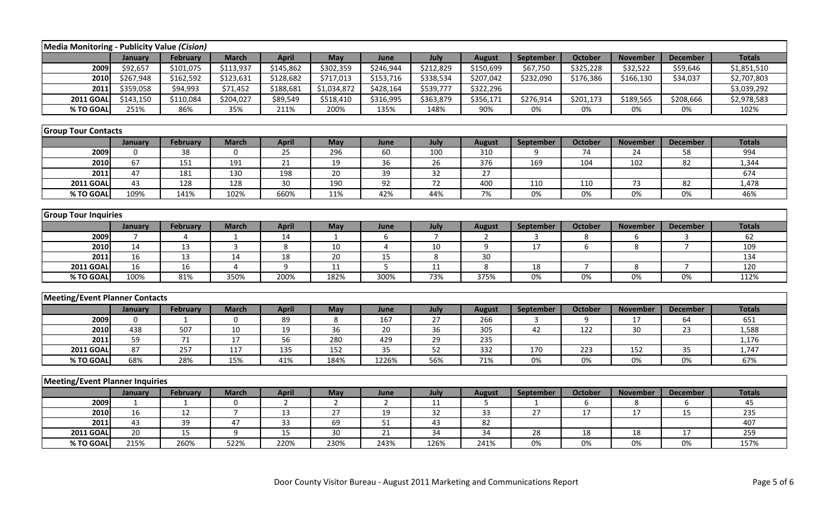| Media Monitoring - Publicity Value (Cision) |                 |                 |                |                 |                |                 |                 |                 |                  |                |                 |                 |               |
|---------------------------------------------|-----------------|-----------------|----------------|-----------------|----------------|-----------------|-----------------|-----------------|------------------|----------------|-----------------|-----------------|---------------|
|                                             | January         | <b>February</b> | <b>March</b>   | <b>April</b>    | May            | June            | July            | <b>August</b>   | September        | <b>October</b> | <b>November</b> | <b>December</b> | <b>Totals</b> |
| 2009                                        | \$92,657        | \$101,075       | \$113,937      | \$145,862       | \$302,359      | \$246,944       | \$212,829       | \$150,699       | \$67,750         | \$325,228      | \$32,522        | \$59,646        | \$1,851,510   |
| 2010                                        | \$267,948       | \$162,592       | \$123,631      | \$128,682       | \$717,013      | \$153,716       | \$338,534       | \$207,042       | \$232,090        | \$176,386      | \$166,130       | \$34,037        | \$2,707,803   |
| 2011                                        | \$359,058       | \$94,993        | \$71,452       | \$188,681       | \$1,034,872    | \$428,164       | \$539,777       | \$322,296       |                  |                |                 |                 | \$3,039,292   |
| <b>2011 GOAL</b>                            | \$143,150       | \$110,084       | \$204,027      | \$89,549        | \$518,410      | \$316,995       | \$363,879       | \$356,171       | \$276,914        | \$201,173      | \$189,565       | \$208,666       | \$2,978,583   |
| % TO GOAL                                   | 251%            | 86%             | 35%            | 211%            | 200%           | 135%            | 148%            | 90%             | 0%               | 0%             | 0%              | 0%              | 102%          |
|                                             |                 |                 |                |                 |                |                 |                 |                 |                  |                |                 |                 |               |
| <b>Group Tour Contacts</b>                  |                 |                 |                |                 |                |                 |                 |                 |                  |                |                 |                 |               |
|                                             | January         | <b>February</b> | <b>March</b>   | <b>April</b>    | May            | June            | July            | <b>August</b>   | September        | <b>October</b> | <b>November</b> | <b>December</b> | <b>Totals</b> |
| 2009                                        | $\mathbf 0$     | 38              | 0              | 25              | 296            | 60              | 100             | 310             | 9                | 74             | 24              | 58              | 994           |
| 2010                                        | 67              | 151             | 191            | 21              | 19             | 36              | 26              | 376             | 169              | 104            | 102             | 82              | 1,344         |
| 2011                                        | 47              | 181             | 130            | 198             | 20             | 39              | 32              | 27              |                  |                |                 |                 | 674           |
| <b>2011 GOAL</b>                            | 43              | 128             | 128            | 30              | 190            | $\overline{92}$ | 72              | 400             | 110              | 110            | 73              | 82              | 1,478         |
| % TO GOAL                                   | 109%            | 141%            | 102%           | 660%            | 11%            | 42%             | 44%             | 7%              | 0%               | 0%             | 0%              | 0%              | 46%           |
|                                             |                 |                 |                |                 |                |                 |                 |                 |                  |                |                 |                 |               |
| <b>Group Tour Inquiries</b>                 |                 |                 |                |                 |                |                 |                 |                 |                  |                |                 |                 |               |
|                                             | January         | <b>February</b> | <b>March</b>   | <b>April</b>    | May            | June            | July            | <b>August</b>   | September        | <b>October</b> | <b>November</b> | <b>December</b> | <b>Totals</b> |
| 2009                                        | 7               | 4               | -1             | 14              | -1             | 6               | $\overline{7}$  | 2               | 3                | 8              | 6               | 3               | 62            |
| 2010                                        | 14              | 13              | $\overline{3}$ | 8               | 10             | $\overline{4}$  | 10              | 9               | $\overline{17}$  | 6              | 8               | $\overline{7}$  | 109           |
| 2011                                        | 16              | 13              | 14             | 18              | 20             | 15              | 8               | 30              |                  |                |                 |                 | 134           |
| <b>2011 GOAL</b>                            | 16              | 16              | 4              | 9               | 11             | $5\overline{5}$ | 11              | 8               | 18               | $\overline{7}$ | 8               | $\overline{7}$  | 120           |
| % TO GOAL                                   | 100%            | 81%             | 350%           | 200%            | 182%           | 300%            | 73%             | 375%            | 0%               | 0%             | 0%              | 0%              | 112%          |
|                                             |                 |                 |                |                 |                |                 |                 |                 |                  |                |                 |                 |               |
| <b>Meeting/Event Planner Contacts</b>       |                 |                 |                |                 |                |                 |                 |                 |                  |                |                 |                 |               |
|                                             | January         | <b>February</b> | <b>March</b>   | <b>April</b>    | May            | June            | July            | <b>August</b>   | September        | October        | <b>November</b> | <b>December</b> | <b>Totals</b> |
| 2009                                        | $\Omega$        | 1               | 0              | 89              | 8              | 167             | 27              | 266             | 3                | 9              | 17              | 64              | 651           |
| 2010                                        | 438             | 507             | $10\,$         | 19              | 36             | 20              | 36              | 305             | 42               | 122            | 30              | 23              | 1,588         |
| 2011                                        | 59              | 71              | 17             | 56              | 280            | 429             | 29              | 235             |                  |                |                 |                 | 1,176         |
| <b>2011 GOAL</b>                            | 87              | 257             | 117            | 135             | 152            | $\overline{35}$ | 52              | 332             | 170              | 223            | 152             | 35              | 1,747         |
| % TO GOAL                                   | 68%             | 28%             | 15%            | 41%             | 184%           | 1226%           | 56%             | 71%             | $0\%$            | 0%             | 0%              | 0%              | 67%           |
|                                             |                 |                 |                |                 |                |                 |                 |                 |                  |                |                 |                 |               |
| <b>Meeting/Event Planner Inquiries</b>      |                 |                 |                |                 |                |                 |                 |                 |                  |                |                 |                 |               |
|                                             | January         | February        | <b>March</b>   | <b>April</b>    | May            | June            | July            | <b>August</b>   | <b>September</b> | October        | <b>November</b> | <b>December</b> | <b>Totals</b> |
| 2009                                        | $\mathbf{1}$    | $\mathbf{1}$    | $\mathbf 0$    | $\overline{2}$  | $\overline{2}$ | $\overline{2}$  | 11              | 5               | $\mathbf{1}$     | 6              | 8               | 6               | 45            |
| 2010                                        | 16              | 12              | $\overline{7}$ | 13              | 27             | 19              | 32              | 33              | 27               | 17             | 17              | 15              | 235           |
| 2011                                        | 43              | $\overline{39}$ | 47             | $\overline{33}$ | 69             | 51              | 43              | 82              |                  |                |                 |                 | 407           |
| <b>2011 GOAL</b>                            | $\overline{20}$ | 15              | 9              | 15              | 30             | $\overline{21}$ | $\overline{34}$ | $\overline{34}$ | 28               | 18             | 18              | 17              | 259           |
| % TO GOAL                                   | 215%            | 260%            | 522%           | 220%            | 230%           | 243%            | 126%            | 241%            | 0%               | 0%             | 0%              | 0%              | 157%          |